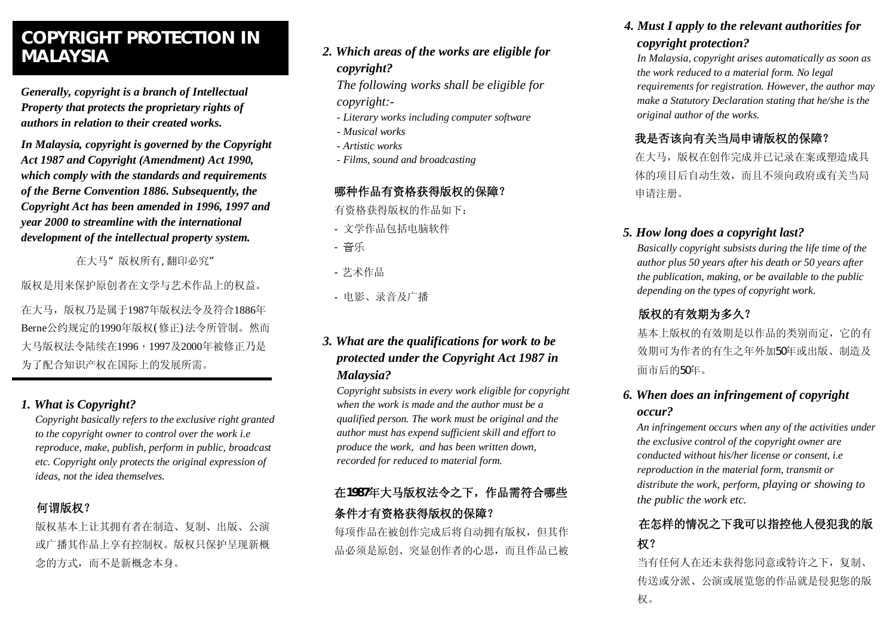# **COPYRIGHT PROTECTION IN MALAYSIA**

*Generally, copyright is a branch of Intellectual Property that protects the proprietary rights of authors in relation to their created works.* 

*In Malaysia, copyright is governed by the Copyright Act 1987 and Copyright (Amendment) Act 1990, which comply with the standards and requirements of the Berne Convention 1886. Subsequently, the Copyright Act has been amended in 1996, 1997 and year 2000 to streamline with the international development of the intellectual property system.* 

在大马"版权所有,翻印必究"

版权是用来保护原创者在文学与艺术作品上的权益。

在大马,版权乃是属于1987年版权法令及符合1886年 Berne公约规定的1990年版权(修正)法令所管制。然而 大马版权法令陆续在1996,1997及2000年被修正乃是 为了配合知识产权在国际上的发展所需。

## *1. What is Copyright?*

*Copyright basically refers to the exclusive right granted to the copyright owner to control over the work i.e reproduce, make, publish, perform in public, broadcast etc. Copyright only protects the original expression of ideas, not the idea themselves.* 

## **何谓版权?**

版权基本上让其拥有者在制造、复制、出版、公演 或广播其作品上享有控制权。版权只保护呈现新概 念的方式,而不是新概念本身。

## *2. Which areas of the works are eligible for copyright?*

*The following works shall be eligible for copyright:-* 

- *Literary works including computer software*
- *Musical works*
- *Artistic works*
- *Films, sound and broadcasting*

## **哪种作品有资格获得版权的保障?**

- 有资格获得版权的作品如下:
- 文学作品包括电脑软件
- 音乐
- 艺术作品
- 电影、录音及广播

## *3. What are the qualifications for work to be protected under the Copyright Act 1987 in Malaysia?*

*Copyright subsists in every work eligible for copyright when the work is made and the author must be a qualified person. The work must be original and the author must has expend sufficient skill and effort to produce the work, and has been written down, recorded for reduced to material form.*

## **在1987年大马版权法令之下,作品需符合哪些 条件才有资格获得版权的保障?**

每项作品在被创作完成后将自动拥有版权,但其作 品必须是原创、突显创作者的心思,而且作品已被

## *4. Must I apply to the relevant authorities for copyright protection?*

*In Malaysia, copyright arises automatically as soon as the work reduced to a material form. No legal requirements for registration. However, the author may make a Statutory Declaration stating that he/she is the original author of the works.*

## **我是否该向有关当局申请版权的保障?**

在大马,版权在创作完成并已记录在案或塑造成具 体的项目后自动生效,而且不须向政府或有关当局 申请注册。

## *5. How long does a copyright last?*

*Basically copyright subsists during the life time of the author plus 50 years after his death or 50 years after the publication, making, or be available to the public depending on the types of copyright work.*

## **版权的有效期为多久?**

基本上版权的有效期是以作品的类别而定,它的有 效期可为作者的有生之年外加50年或出版、制造及 面市后的50年。

## *6. When does an infringement of copyright occur?*

*An infringement occurs when any of the activities under the exclusive control of the copyright owner are conducted without his/her license or consent, i.e reproduction in the material form, transmit or distribute the work, perform, playing or showing to the public the work etc.*

## **在怎样的情况之下我可以指控他人侵犯我的版 权?**

当有任何人在还未获得您同意或特许之下,复制、 传送或分派、公演或展览您的作品就是侵犯您的版 权。